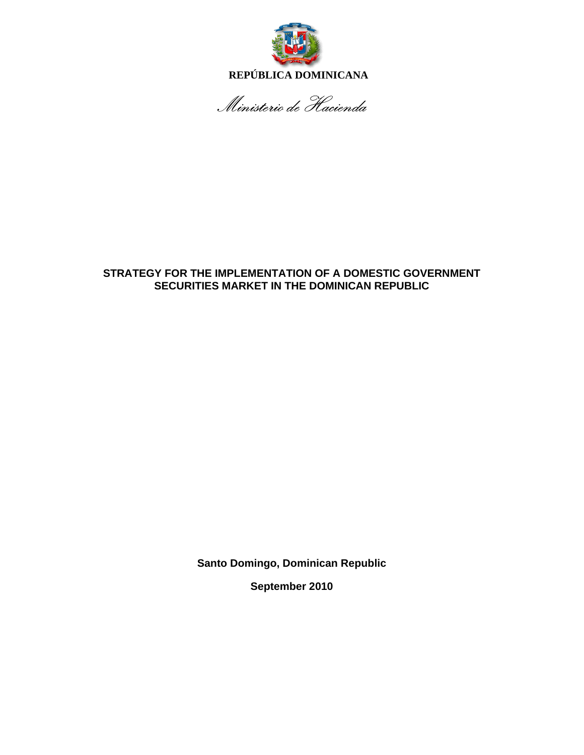

 **REPÚBLICA DOMINICANA** 

Ministerio de Hacienda

## **STRATEGY FOR THE IMPLEMENTATION OF A DOMESTIC GOVERNMENT SECURITIES MARKET IN THE DOMINICAN REPUBLIC**

**Santo Domingo, Dominican Republic** 

**September 2010**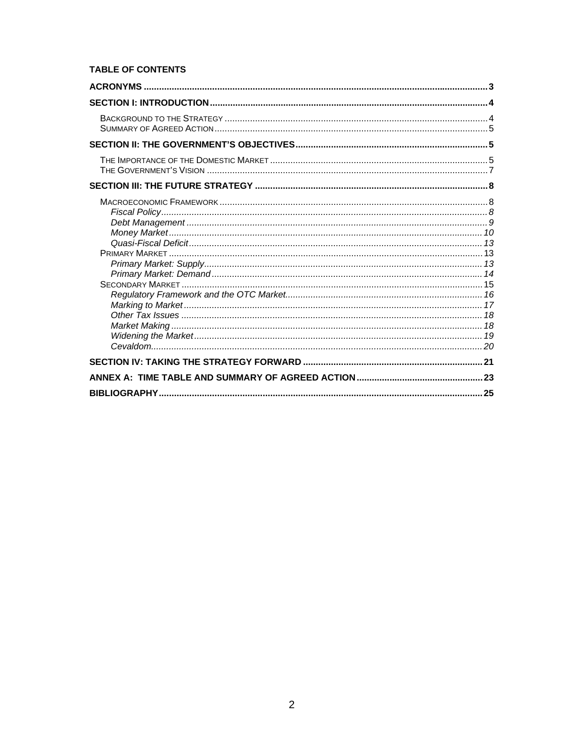## **TABLE OF CONTENTS**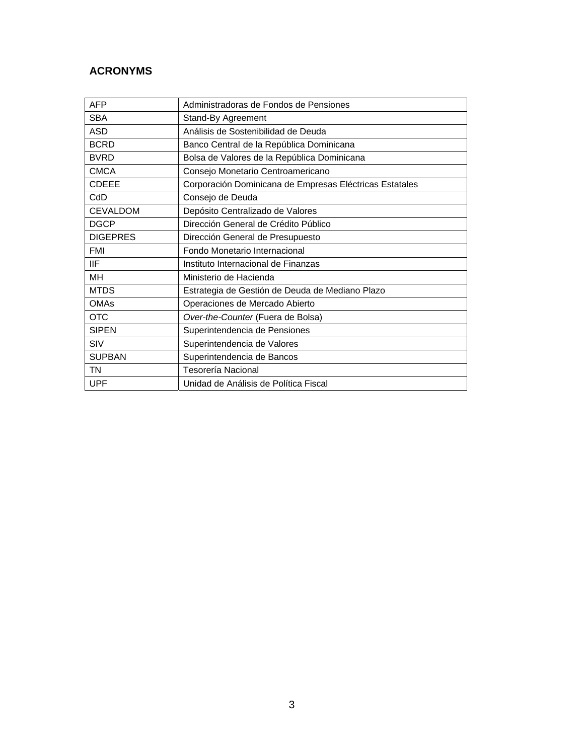# **ACRONYMS**

| <b>AFP</b>      | Administradoras de Fondos de Pensiones                  |  |
|-----------------|---------------------------------------------------------|--|
| <b>SBA</b>      | Stand-By Agreement                                      |  |
| <b>ASD</b>      | Análisis de Sostenibilidad de Deuda                     |  |
| <b>BCRD</b>     | Banco Central de la República Dominicana                |  |
| <b>BVRD</b>     | Bolsa de Valores de la República Dominicana             |  |
| <b>CMCA</b>     | Consejo Monetario Centroamericano                       |  |
| <b>CDEEE</b>    | Corporación Dominicana de Empresas Eléctricas Estatales |  |
| CdD             | Consejo de Deuda                                        |  |
| <b>CEVALDOM</b> | Depósito Centralizado de Valores                        |  |
| <b>DGCP</b>     | Dirección General de Crédito Público                    |  |
| <b>DIGEPRES</b> | Dirección General de Presupuesto                        |  |
| <b>FMI</b>      | Fondo Monetario Internacional                           |  |
| IIF             | Instituto Internacional de Finanzas                     |  |
| MH              | Ministerio de Hacienda                                  |  |
| <b>MTDS</b>     | Estrategia de Gestión de Deuda de Mediano Plazo         |  |
| OMAs            | Operaciones de Mercado Abierto                          |  |
| <b>OTC</b>      | Over-the-Counter (Fuera de Bolsa)                       |  |
| <b>SIPEN</b>    | Superintendencia de Pensiones                           |  |
| SIV             | Superintendencia de Valores                             |  |
| <b>SUPBAN</b>   | Superintendencia de Bancos                              |  |
| TN              | Tesorería Nacional                                      |  |
| <b>UPF</b>      | Unidad de Análisis de Política Fiscal                   |  |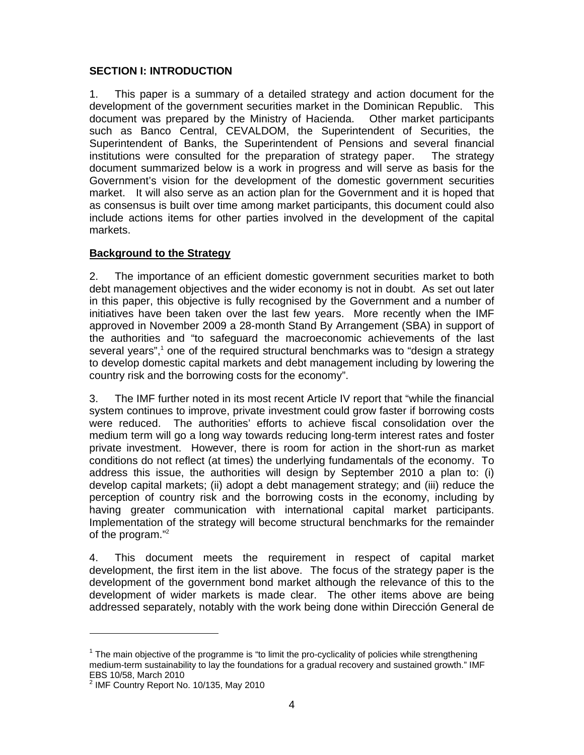## **SECTION I: INTRODUCTION**

1. This paper is a summary of a detailed strategy and action document for the development of the government securities market in the Dominican Republic. This document was prepared by the Ministry of Hacienda. Other market participants such as Banco Central, CEVALDOM, the Superintendent of Securities, the Superintendent of Banks, the Superintendent of Pensions and several financial institutions were consulted for the preparation of strategy paper. The strategy document summarized below is a work in progress and will serve as basis for the Government's vision for the development of the domestic government securities market. It will also serve as an action plan for the Government and it is hoped that as consensus is built over time among market participants, this document could also include actions items for other parties involved in the development of the capital markets.

## **Background to the Strategy**

2. The importance of an efficient domestic government securities market to both debt management objectives and the wider economy is not in doubt. As set out later in this paper, this objective is fully recognised by the Government and a number of initiatives have been taken over the last few years. More recently when the IMF approved in November 2009 a 28-month Stand By Arrangement (SBA) in support of the authorities and "to safeguard the macroeconomic achievements of the last several years",<sup>1</sup> one of the required structural benchmarks was to "design a strategy to develop domestic capital markets and debt management including by lowering the country risk and the borrowing costs for the economy".

3. The IMF further noted in its most recent Article IV report that "while the financial system continues to improve, private investment could grow faster if borrowing costs were reduced. The authorities' efforts to achieve fiscal consolidation over the medium term will go a long way towards reducing long-term interest rates and foster private investment. However, there is room for action in the short-run as market conditions do not reflect (at times) the underlying fundamentals of the economy. To address this issue, the authorities will design by September 2010 a plan to: (i) develop capital markets; (ii) adopt a debt management strategy; and (iii) reduce the perception of country risk and the borrowing costs in the economy, including by having greater communication with international capital market participants. Implementation of the strategy will become structural benchmarks for the remainder of the program."2

4. This document meets the requirement in respect of capital market development, the first item in the list above. The focus of the strategy paper is the development of the government bond market although the relevance of this to the development of wider markets is made clear. The other items above are being addressed separately, notably with the work being done within Dirección General de

 $1$  The main objective of the programme is "to limit the pro-cyclicality of policies while strengthening medium-term sustainability to lay the foundations for a gradual recovery and sustained growth." IMF EBS 10/58, March 2010

<sup>&</sup>lt;sup>2</sup> IMF Country Report No. 10/135, May 2010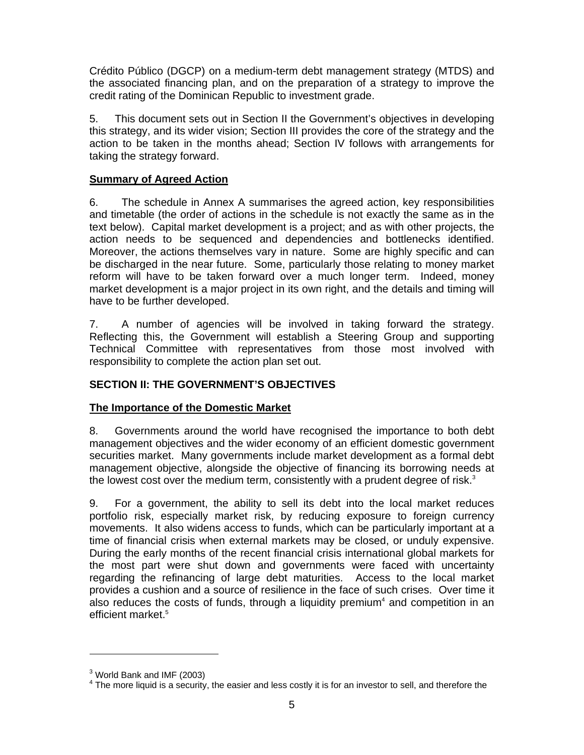Crédito Público (DGCP) on a medium-term debt management strategy (MTDS) and the associated financing plan, and on the preparation of a strategy to improve the credit rating of the Dominican Republic to investment grade.

5. This document sets out in Section II the Government's objectives in developing this strategy, and its wider vision; Section III provides the core of the strategy and the action to be taken in the months ahead; Section IV follows with arrangements for taking the strategy forward.

# **Summary of Agreed Action**

6. The schedule in Annex A summarises the agreed action, key responsibilities and timetable (the order of actions in the schedule is not exactly the same as in the text below). Capital market development is a project; and as with other projects, the action needs to be sequenced and dependencies and bottlenecks identified. Moreover, the actions themselves vary in nature. Some are highly specific and can be discharged in the near future. Some, particularly those relating to money market reform will have to be taken forward over a much longer term. Indeed, money market development is a major project in its own right, and the details and timing will have to be further developed.

7. A number of agencies will be involved in taking forward the strategy. Reflecting this, the Government will establish a Steering Group and supporting Technical Committee with representatives from those most involved with responsibility to complete the action plan set out.

# **SECTION II: THE GOVERNMENT'S OBJECTIVES**

# **The Importance of the Domestic Market**

8. Governments around the world have recognised the importance to both debt management objectives and the wider economy of an efficient domestic government securities market. Many governments include market development as a formal debt management objective, alongside the objective of financing its borrowing needs at the lowest cost over the medium term, consistently with a prudent degree of risk. $3$ 

9. For a government, the ability to sell its debt into the local market reduces portfolio risk, especially market risk, by reducing exposure to foreign currency movements. It also widens access to funds, which can be particularly important at a time of financial crisis when external markets may be closed, or unduly expensive. During the early months of the recent financial crisis international global markets for the most part were shut down and governments were faced with uncertainty regarding the refinancing of large debt maturities. Access to the local market provides a cushion and a source of resilience in the face of such crises. Over time it also reduces the costs of funds, through a liquidity premium<sup>4</sup> and competition in an efficient market.<sup>5</sup>

<sup>&</sup>lt;sup>3</sup> World Bank and IMF (2003)

 $4$  The more liquid is a security, the easier and less costly it is for an investor to sell, and therefore the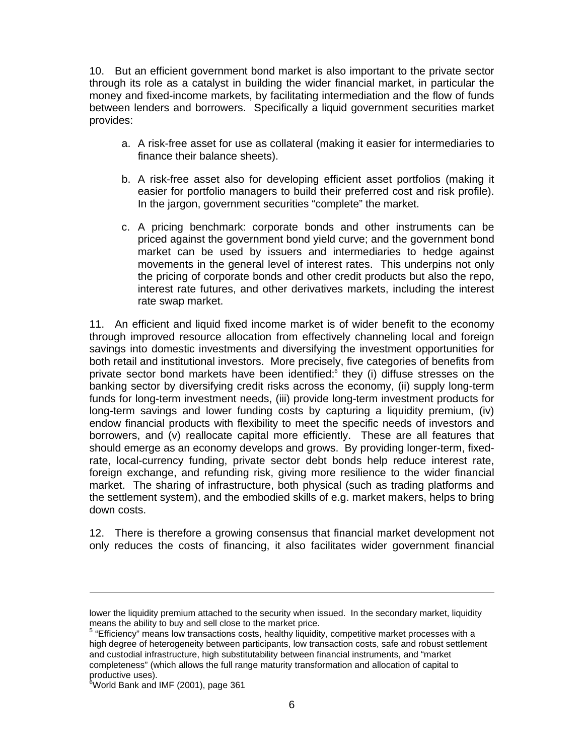10. But an efficient government bond market is also important to the private sector through its role as a catalyst in building the wider financial market, in particular the money and fixed-income markets, by facilitating intermediation and the flow of funds between lenders and borrowers. Specifically a liquid government securities market provides:

- a. A risk-free asset for use as collateral (making it easier for intermediaries to finance their balance sheets).
- b. A risk-free asset also for developing efficient asset portfolios (making it easier for portfolio managers to build their preferred cost and risk profile). In the jargon, government securities "complete" the market.
- c. A pricing benchmark: corporate bonds and other instruments can be priced against the government bond yield curve; and the government bond market can be used by issuers and intermediaries to hedge against movements in the general level of interest rates. This underpins not only the pricing of corporate bonds and other credit products but also the repo, interest rate futures, and other derivatives markets, including the interest rate swap market.

11. An efficient and liquid fixed income market is of wider benefit to the economy through improved resource allocation from effectively channeling local and foreign savings into domestic investments and diversifying the investment opportunities for both retail and institutional investors. More precisely, five categories of benefits from private sector bond markets have been identified:<sup>6</sup> they (i) diffuse stresses on the banking sector by diversifying credit risks across the economy, (ii) supply long-term funds for long-term investment needs, (iii) provide long-term investment products for long-term savings and lower funding costs by capturing a liquidity premium, (iv) endow financial products with flexibility to meet the specific needs of investors and borrowers, and (v) reallocate capital more efficiently. These are all features that should emerge as an economy develops and grows. By providing longer-term, fixedrate, local-currency funding, private sector debt bonds help reduce interest rate, foreign exchange, and refunding risk, giving more resilience to the wider financial market. The sharing of infrastructure, both physical (such as trading platforms and the settlement system), and the embodied skills of e.g. market makers, helps to bring down costs.

12. There is therefore a growing consensus that financial market development not only reduces the costs of financing, it also facilitates wider government financial

lower the liquidity premium attached to the security when issued. In the secondary market, liquidity means the ability to buy and sell close to the market price.

<sup>&</sup>lt;sup>5</sup> "Efficiency" means low transactions costs, healthy liquidity, competitive market processes with a high degree of heterogeneity between participants, low transaction costs, safe and robust settlement and custodial infrastructure, high substitutability between financial instruments, and "market completeness" (which allows the full range maturity transformation and allocation of capital to

productive uses).<br><sup>6</sup>World Bank and IMF (2001), page 361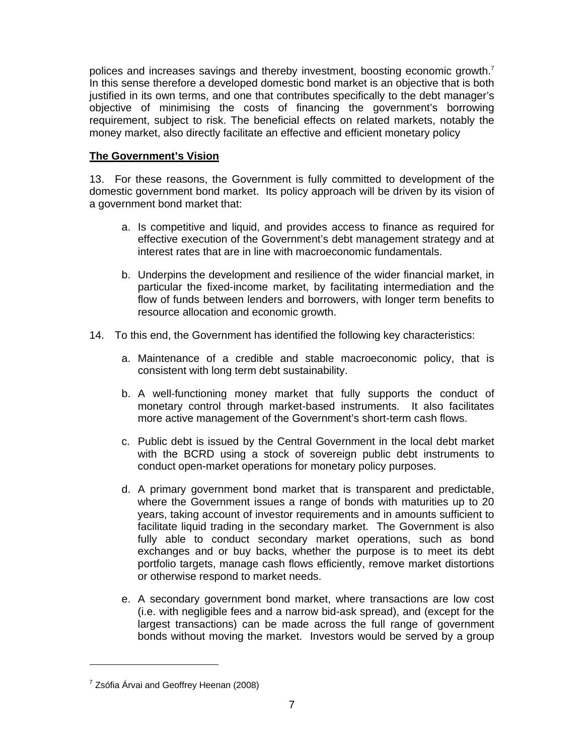polices and increases savings and thereby investment, boosting economic growth.<sup>7</sup> In this sense therefore a developed domestic bond market is an objective that is both justified in its own terms, and one that contributes specifically to the debt manager's objective of minimising the costs of financing the government's borrowing requirement, subject to risk. The beneficial effects on related markets, notably the money market, also directly facilitate an effective and efficient monetary policy

## **The Government's Vision**

13. For these reasons, the Government is fully committed to development of the domestic government bond market. Its policy approach will be driven by its vision of a government bond market that:

- a. Is competitive and liquid, and provides access to finance as required for effective execution of the Government's debt management strategy and at interest rates that are in line with macroeconomic fundamentals.
- b. Underpins the development and resilience of the wider financial market, in particular the fixed-income market, by facilitating intermediation and the flow of funds between lenders and borrowers, with longer term benefits to resource allocation and economic growth.
- 14. To this end, the Government has identified the following key characteristics:
	- a. Maintenance of a credible and stable macroeconomic policy, that is consistent with long term debt sustainability.
	- b. A well-functioning money market that fully supports the conduct of monetary control through market-based instruments. It also facilitates more active management of the Government's short-term cash flows.
	- c. Public debt is issued by the Central Government in the local debt market with the BCRD using a stock of sovereign public debt instruments to conduct open-market operations for monetary policy purposes.
	- d. A primary government bond market that is transparent and predictable, where the Government issues a range of bonds with maturities up to 20 years, taking account of investor requirements and in amounts sufficient to facilitate liquid trading in the secondary market. The Government is also fully able to conduct secondary market operations, such as bond exchanges and or buy backs, whether the purpose is to meet its debt portfolio targets, manage cash flows efficiently, remove market distortions or otherwise respond to market needs.
	- e. A secondary government bond market, where transactions are low cost (i.e. with negligible fees and a narrow bid-ask spread), and (except for the largest transactions) can be made across the full range of government bonds without moving the market. Investors would be served by a group

<sup>&</sup>lt;sup>7</sup> Zsófia Árvai and Geoffrey Heenan (2008)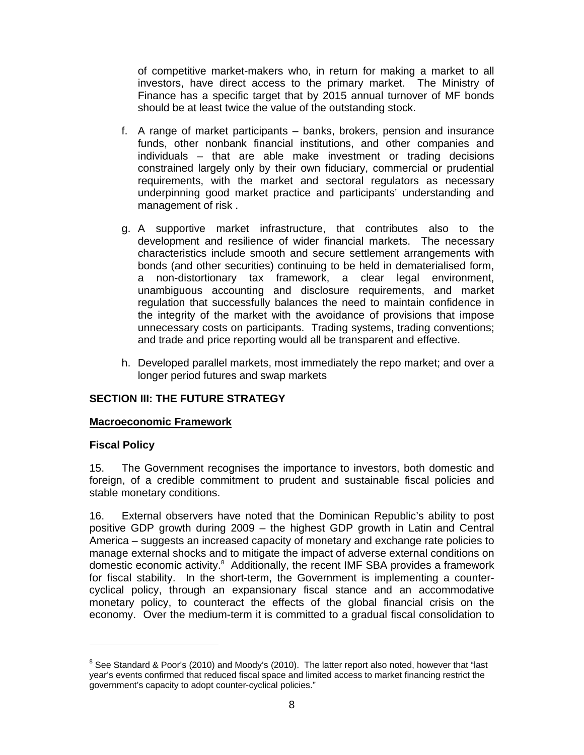of competitive market-makers who, in return for making a market to all investors, have direct access to the primary market. The Ministry of Finance has a specific target that by 2015 annual turnover of MF bonds should be at least twice the value of the outstanding stock.

- f. A range of market participants banks, brokers, pension and insurance funds, other nonbank financial institutions, and other companies and individuals – that are able make investment or trading decisions constrained largely only by their own fiduciary, commercial or prudential requirements, with the market and sectoral regulators as necessary underpinning good market practice and participants' understanding and management of risk .
- g. A supportive market infrastructure, that contributes also to the development and resilience of wider financial markets. The necessary characteristics include smooth and secure settlement arrangements with bonds (and other securities) continuing to be held in dematerialised form, a non-distortionary tax framework, a clear legal environment, unambiguous accounting and disclosure requirements, and market regulation that successfully balances the need to maintain confidence in the integrity of the market with the avoidance of provisions that impose unnecessary costs on participants. Trading systems, trading conventions; and trade and price reporting would all be transparent and effective.
- h. Developed parallel markets, most immediately the repo market; and over a longer period futures and swap markets

# **SECTION III: THE FUTURE STRATEGY**

#### **Macroeconomic Framework**

#### **Fiscal Policy**

-

15. The Government recognises the importance to investors, both domestic and foreign, of a credible commitment to prudent and sustainable fiscal policies and stable monetary conditions.

16. External observers have noted that the Dominican Republic's ability to post positive GDP growth during 2009 – the highest GDP growth in Latin and Central America – suggests an increased capacity of monetary and exchange rate policies to manage external shocks and to mitigate the impact of adverse external conditions on domestic economic activity.<sup>8</sup> Additionally, the recent IMF SBA provides a framework for fiscal stability. In the short-term, the Government is implementing a countercyclical policy, through an expansionary fiscal stance and an accommodative monetary policy, to counteract the effects of the global financial crisis on the economy. Over the medium-term it is committed to a gradual fiscal consolidation to

<sup>&</sup>lt;sup>8</sup> See Standard & Poor's (2010) and Moody's (2010). The latter report also noted, however that "last year's events confirmed that reduced fiscal space and limited access to market financing restrict the government's capacity to adopt counter-cyclical policies."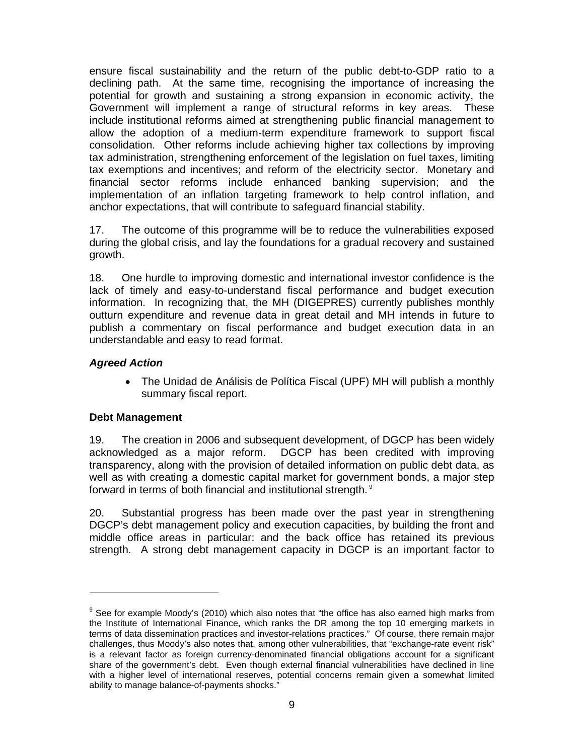ensure fiscal sustainability and the return of the public debt-to-GDP ratio to a declining path. At the same time, recognising the importance of increasing the potential for growth and sustaining a strong expansion in economic activity, the Government will implement a range of structural reforms in key areas. These include institutional reforms aimed at strengthening public financial management to allow the adoption of a medium-term expenditure framework to support fiscal consolidation. Other reforms include achieving higher tax collections by improving tax administration, strengthening enforcement of the legislation on fuel taxes, limiting tax exemptions and incentives; and reform of the electricity sector. Monetary and financial sector reforms include enhanced banking supervision; and the implementation of an inflation targeting framework to help control inflation, and anchor expectations, that will contribute to safeguard financial stability.

17. The outcome of this programme will be to reduce the vulnerabilities exposed during the global crisis, and lay the foundations for a gradual recovery and sustained growth.

18. One hurdle to improving domestic and international investor confidence is the lack of timely and easy-to-understand fiscal performance and budget execution information. In recognizing that, the MH (DIGEPRES) currently publishes monthly outturn expenditure and revenue data in great detail and MH intends in future to publish a commentary on fiscal performance and budget execution data in an understandable and easy to read format.

# *Agreed Action*

• The Unidad de Análisis de Política Fiscal (UPF) MH will publish a monthly summary fiscal report.

# **Debt Management**

-

19. The creation in 2006 and subsequent development, of DGCP has been widely acknowledged as a major reform. DGCP has been credited with improving transparency, along with the provision of detailed information on public debt data, as well as with creating a domestic capital market for government bonds, a major step forward in terms of both financial and institutional strength. 9

20. Substantial progress has been made over the past year in strengthening DGCP's debt management policy and execution capacities, by building the front and middle office areas in particular: and the back office has retained its previous strength. A strong debt management capacity in DGCP is an important factor to

 $9$  See for example Moody's (2010) which also notes that "the office has also earned high marks from the Institute of International Finance, which ranks the DR among the top 10 emerging markets in terms of data dissemination practices and investor-relations practices." Of course, there remain major challenges, thus Moody's also notes that, among other vulnerabilities, that "exchange-rate event risk" is a relevant factor as foreign currency-denominated financial obligations account for a significant share of the government's debt. Even though external financial vulnerabilities have declined in line with a higher level of international reserves, potential concerns remain given a somewhat limited ability to manage balance-of-payments shocks."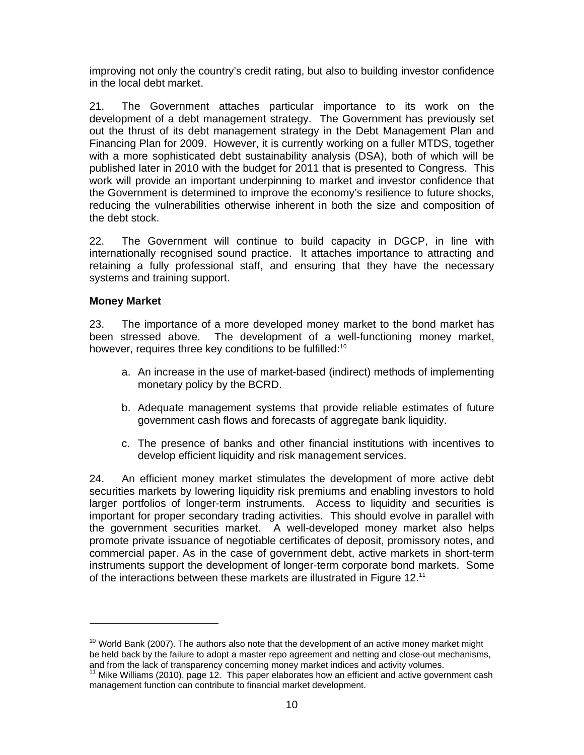improving not only the country's credit rating, but also to building investor confidence in the local debt market.

21. The Government attaches particular importance to its work on the development of a debt management strategy. The Government has previously set out the thrust of its debt management strategy in the Debt Management Plan and Financing Plan for 2009. However, it is currently working on a fuller MTDS, together with a more sophisticated debt sustainability analysis (DSA), both of which will be published later in 2010 with the budget for 2011 that is presented to Congress. This work will provide an important underpinning to market and investor confidence that the Government is determined to improve the economy's resilience to future shocks, reducing the vulnerabilities otherwise inherent in both the size and composition of the debt stock.

22. The Government will continue to build capacity in DGCP, in line with internationally recognised sound practice. It attaches importance to attracting and retaining a fully professional staff, and ensuring that they have the necessary systems and training support.

## **Money Market**

-

23. The importance of a more developed money market to the bond market has been stressed above. The development of a well-functioning money market, however, requires three key conditions to be fulfilled:<sup>10</sup>

- a. An increase in the use of market-based (indirect) methods of implementing monetary policy by the BCRD.
- b. Adequate management systems that provide reliable estimates of future government cash flows and forecasts of aggregate bank liquidity.
- c. The presence of banks and other financial institutions with incentives to develop efficient liquidity and risk management services.

24. An efficient money market stimulates the development of more active debt securities markets by lowering liquidity risk premiums and enabling investors to hold larger portfolios of longer-term instruments. Access to liquidity and securities is important for proper secondary trading activities. This should evolve in parallel with the government securities market. A well-developed money market also helps promote private issuance of negotiable certificates of deposit, promissory notes, and commercial paper. As in the case of government debt, active markets in short-term instruments support the development of longer-term corporate bond markets. Some of the interactions between these markets are illustrated in Figure 12.<sup>11</sup>

 $10$  World Bank (2007). The authors also note that the development of an active money market might be held back by the failure to adopt a master repo agreement and netting and close-out mechanisms, and from the lack of transparency concerning money market indices and activity volumes.

<sup>&</sup>lt;sup>11</sup> Mike Williams (2010), page 12. This paper elaborates how an efficient and active government cash management function can contribute to financial market development.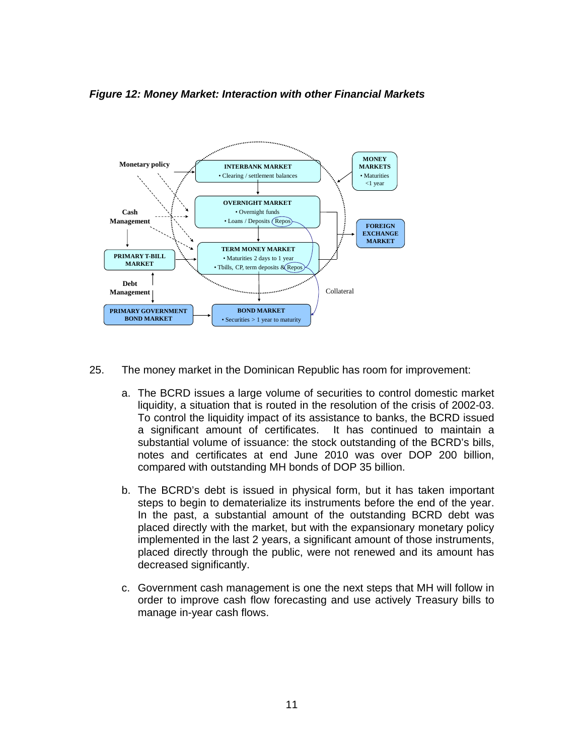*Figure 12: Money Market: Interaction with other Financial Markets* 



- 25. The money market in the Dominican Republic has room for improvement:
	- a. The BCRD issues a large volume of securities to control domestic market liquidity, a situation that is routed in the resolution of the crisis of 2002-03. To control the liquidity impact of its assistance to banks, the BCRD issued a significant amount of certificates. It has continued to maintain a substantial volume of issuance: the stock outstanding of the BCRD's bills, notes and certificates at end June 2010 was over DOP 200 billion, compared with outstanding MH bonds of DOP 35 billion.
	- b. The BCRD's debt is issued in physical form, but it has taken important steps to begin to dematerialize its instruments before the end of the year. In the past, a substantial amount of the outstanding BCRD debt was placed directly with the market, but with the expansionary monetary policy implemented in the last 2 years, a significant amount of those instruments, placed directly through the public, were not renewed and its amount has decreased significantly.
	- c. Government cash management is one the next steps that MH will follow in order to improve cash flow forecasting and use actively Treasury bills to manage in-year cash flows.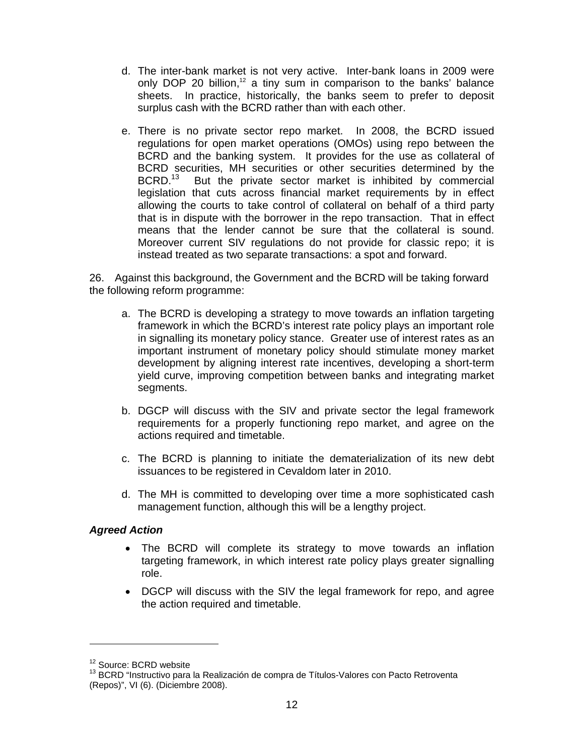- d. The inter-bank market is not very active. Inter-bank loans in 2009 were only DOP 20 billion,<sup>12</sup> a tiny sum in comparison to the banks' balance sheets. In practice, historically, the banks seem to prefer to deposit surplus cash with the BCRD rather than with each other.
- e. There is no private sector repo market. In 2008, the BCRD issued regulations for open market operations (OMOs) using repo between the BCRD and the banking system. It provides for the use as collateral of BCRD securities, MH securities or other securities determined by the BCRD.<sup>13</sup> But the private sector market is inhibited by commercial But the private sector market is inhibited by commercial legislation that cuts across financial market requirements by in effect allowing the courts to take control of collateral on behalf of a third party that is in dispute with the borrower in the repo transaction. That in effect means that the lender cannot be sure that the collateral is sound. Moreover current SIV regulations do not provide for classic repo; it is instead treated as two separate transactions: a spot and forward.

26. Against this background, the Government and the BCRD will be taking forward the following reform programme:

- a. The BCRD is developing a strategy to move towards an inflation targeting framework in which the BCRD's interest rate policy plays an important role in signalling its monetary policy stance. Greater use of interest rates as an important instrument of monetary policy should stimulate money market development by aligning interest rate incentives, developing a short-term yield curve, improving competition between banks and integrating market segments.
- b. DGCP will discuss with the SIV and private sector the legal framework requirements for a properly functioning repo market, and agree on the actions required and timetable.
- c. The BCRD is planning to initiate the dematerialization of its new debt issuances to be registered in Cevaldom later in 2010.
- d. The MH is committed to developing over time a more sophisticated cash management function, although this will be a lengthy project.

#### *Agreed Action*

- The BCRD will complete its strategy to move towards an inflation targeting framework, in which interest rate policy plays greater signalling role.
- DGCP will discuss with the SIV the legal framework for repo, and agree the action required and timetable.

<sup>&</sup>lt;sup>12</sup> Source: BCRD website<br><sup>13</sup> BCRD "Instructivo para la Realización de compra de Títulos-Valores con Pacto Retroventa (Repos)", VI (6). (Diciembre 2008).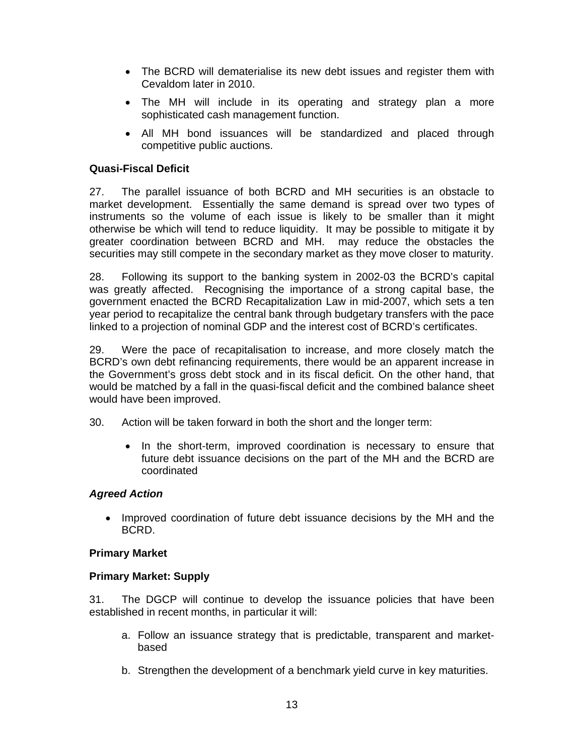- The BCRD will dematerialise its new debt issues and register them with Cevaldom later in 2010.
- The MH will include in its operating and strategy plan a more sophisticated cash management function.
- All MH bond issuances will be standardized and placed through competitive public auctions.

## **Quasi-Fiscal Deficit**

27. The parallel issuance of both BCRD and MH securities is an obstacle to market development. Essentially the same demand is spread over two types of instruments so the volume of each issue is likely to be smaller than it might otherwise be which will tend to reduce liquidity. It may be possible to mitigate it by greater coordination between BCRD and MH. may reduce the obstacles the securities may still compete in the secondary market as they move closer to maturity.

28. Following its support to the banking system in 2002-03 the BCRD's capital was greatly affected. Recognising the importance of a strong capital base, the government enacted the BCRD Recapitalization Law in mid-2007, which sets a ten year period to recapitalize the central bank through budgetary transfers with the pace linked to a projection of nominal GDP and the interest cost of BCRD's certificates.

29. Were the pace of recapitalisation to increase, and more closely match the BCRD's own debt refinancing requirements, there would be an apparent increase in the Government's gross debt stock and in its fiscal deficit. On the other hand, that would be matched by a fall in the quasi-fiscal deficit and the combined balance sheet would have been improved.

- 30. Action will be taken forward in both the short and the longer term:
	- In the short-term, improved coordination is necessary to ensure that future debt issuance decisions on the part of the MH and the BCRD are coordinated

#### *Agreed Action*

• Improved coordination of future debt issuance decisions by the MH and the BCRD.

#### **Primary Market**

#### **Primary Market: Supply**

31. The DGCP will continue to develop the issuance policies that have been established in recent months, in particular it will:

- a. Follow an issuance strategy that is predictable, transparent and marketbased
- b. Strengthen the development of a benchmark yield curve in key maturities.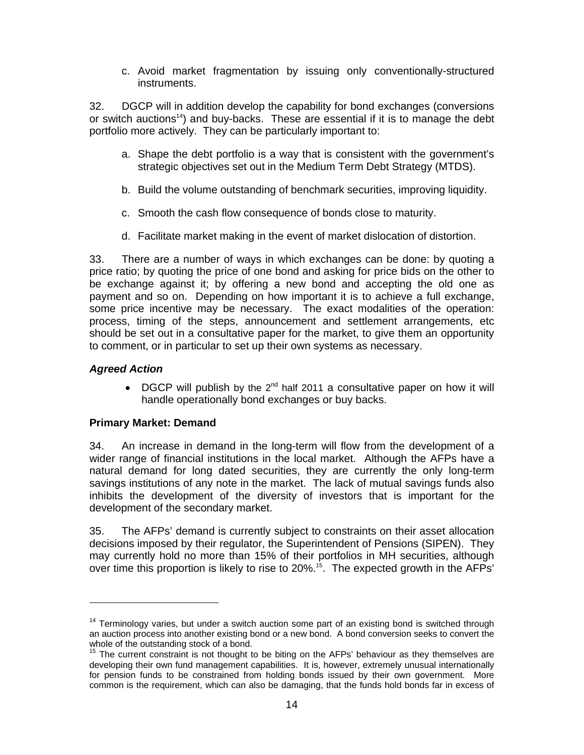c. Avoid market fragmentation by issuing only conventionally-structured instruments.

32. DGCP will in addition develop the capability for bond exchanges (conversions or switch auctions<sup>14</sup>) and buy-backs. These are essential if it is to manage the debt portfolio more actively. They can be particularly important to:

- a. Shape the debt portfolio is a way that is consistent with the government's strategic objectives set out in the Medium Term Debt Strategy (MTDS).
- b. Build the volume outstanding of benchmark securities, improving liquidity.
- c. Smooth the cash flow consequence of bonds close to maturity.
- d. Facilitate market making in the event of market dislocation of distortion.

33. There are a number of ways in which exchanges can be done: by quoting a price ratio; by quoting the price of one bond and asking for price bids on the other to be exchange against it; by offering a new bond and accepting the old one as payment and so on. Depending on how important it is to achieve a full exchange, some price incentive may be necessary. The exact modalities of the operation: process, timing of the steps, announcement and settlement arrangements, etc should be set out in a consultative paper for the market, to give them an opportunity to comment, or in particular to set up their own systems as necessary.

## *Agreed Action*

-

• DGCP will publish by the 2<sup>nd</sup> half 2011 a consultative paper on how it will handle operationally bond exchanges or buy backs.

#### **Primary Market: Demand**

34. An increase in demand in the long-term will flow from the development of a wider range of financial institutions in the local market. Although the AFPs have a natural demand for long dated securities, they are currently the only long-term savings institutions of any note in the market. The lack of mutual savings funds also inhibits the development of the diversity of investors that is important for the development of the secondary market.

35. The AFPs' demand is currently subject to constraints on their asset allocation decisions imposed by their regulator, the Superintendent of Pensions (SIPEN). They may currently hold no more than 15% of their portfolios in MH securities, although over time this proportion is likely to rise to 20%.<sup>15</sup>. The expected growth in the AFPs'

 $14$  Terminology varies, but under a switch auction some part of an existing bond is switched through an auction process into another existing bond or a new bond. A bond conversion seeks to convert the whole of the outstanding stock of a bond.

 $15$  The current constraint is not thought to be biting on the AFPs' behaviour as they themselves are developing their own fund management capabilities. It is, however, extremely unusual internationally for pension funds to be constrained from holding bonds issued by their own government. More common is the requirement, which can also be damaging, that the funds hold bonds far in excess of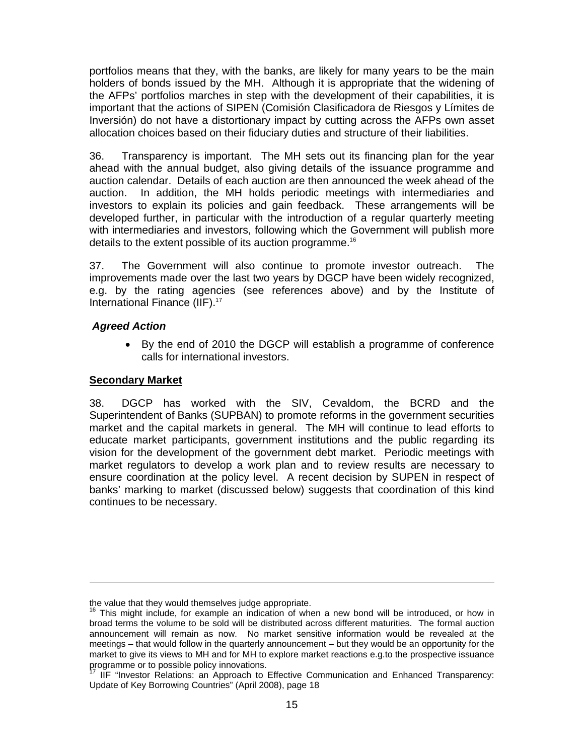portfolios means that they, with the banks, are likely for many years to be the main holders of bonds issued by the MH. Although it is appropriate that the widening of the AFPs' portfolios marches in step with the development of their capabilities, it is important that the actions of SIPEN (Comisión Clasificadora de Riesgos y Límites de Inversión) do not have a distortionary impact by cutting across the AFPs own asset allocation choices based on their fiduciary duties and structure of their liabilities.

36. Transparency is important. The MH sets out its financing plan for the year ahead with the annual budget, also giving details of the issuance programme and auction calendar. Details of each auction are then announced the week ahead of the auction. In addition, the MH holds periodic meetings with intermediaries and investors to explain its policies and gain feedback. These arrangements will be developed further, in particular with the introduction of a regular quarterly meeting with intermediaries and investors, following which the Government will publish more details to the extent possible of its auction programme.16

37. The Government will also continue to promote investor outreach. The improvements made over the last two years by DGCP have been widely recognized, e.g. by the rating agencies (see references above) and by the Institute of International Finance (IIF).<sup>17</sup>

## *Agreed Action*

• By the end of 2010 the DGCP will establish a programme of conference calls for international investors.

### **Secondary Market**

-

38. DGCP has worked with the SIV, Cevaldom, the BCRD and the Superintendent of Banks (SUPBAN) to promote reforms in the government securities market and the capital markets in general. The MH will continue to lead efforts to educate market participants, government institutions and the public regarding its vision for the development of the government debt market. Periodic meetings with market regulators to develop a work plan and to review results are necessary to ensure coordination at the policy level. A recent decision by SUPEN in respect of banks' marking to market (discussed below) suggests that coordination of this kind continues to be necessary.

the value that they would themselves judge appropriate.

 $16$  This might include, for example an indication of when a new bond will be introduced, or how in broad terms the volume to be sold will be distributed across different maturities. The formal auction announcement will remain as now. No market sensitive information would be revealed at the meetings – that would follow in the quarterly announcement – but they would be an opportunity for the market to give its views to MH and for MH to explore market reactions e.g.to the prospective issuance programme or to possible policy innovations.

<sup>17</sup> IIF "Investor Relations: an Approach to Effective Communication and Enhanced Transparency: Update of Key Borrowing Countries" (April 2008), page 18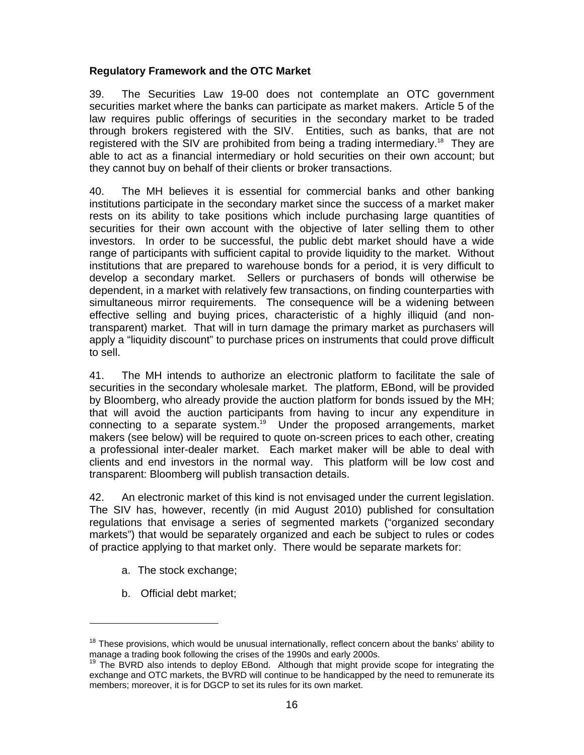## **Regulatory Framework and the OTC Market**

39. The Securities Law 19-00 does not contemplate an OTC government securities market where the banks can participate as market makers. Article 5 of the law requires public offerings of securities in the secondary market to be traded through brokers registered with the SIV. Entities, such as banks, that are not registered with the SIV are prohibited from being a trading intermediary.<sup>18</sup> They are able to act as a financial intermediary or hold securities on their own account; but they cannot buy on behalf of their clients or broker transactions.

40. The MH believes it is essential for commercial banks and other banking institutions participate in the secondary market since the success of a market maker rests on its ability to take positions which include purchasing large quantities of securities for their own account with the objective of later selling them to other investors. In order to be successful, the public debt market should have a wide range of participants with sufficient capital to provide liquidity to the market. Without institutions that are prepared to warehouse bonds for a period, it is very difficult to develop a secondary market. Sellers or purchasers of bonds will otherwise be dependent, in a market with relatively few transactions, on finding counterparties with simultaneous mirror requirements. The consequence will be a widening between effective selling and buying prices, characteristic of a highly illiquid (and nontransparent) market. That will in turn damage the primary market as purchasers will apply a "liquidity discount" to purchase prices on instruments that could prove difficult to sell.

41. The MH intends to authorize an electronic platform to facilitate the sale of securities in the secondary wholesale market. The platform, EBond, will be provided by Bloomberg, who already provide the auction platform for bonds issued by the MH; that will avoid the auction participants from having to incur any expenditure in connecting to a separate system.<sup>19</sup> Under the proposed arrangements, market makers (see below) will be required to quote on-screen prices to each other, creating a professional inter-dealer market. Each market maker will be able to deal with clients and end investors in the normal way. This platform will be low cost and transparent: Bloomberg will publish transaction details.

42. An electronic market of this kind is not envisaged under the current legislation. The SIV has, however, recently (in mid August 2010) published for consultation regulations that envisage a series of segmented markets ("organized secondary markets") that would be separately organized and each be subject to rules or codes of practice applying to that market only. There would be separate markets for:

- a. The stock exchange;
- b. Official debt market;

 $18$  These provisions, which would be unusual internationally, reflect concern about the banks' ability to manage a trading book following the crises of the 1990s and early 2000s.

<sup>&</sup>lt;sup>19</sup> The BVRD also intends to deploy EBond. Although that might provide scope for integrating the exchange and OTC markets, the BVRD will continue to be handicapped by the need to remunerate its members; moreover, it is for DGCP to set its rules for its own market.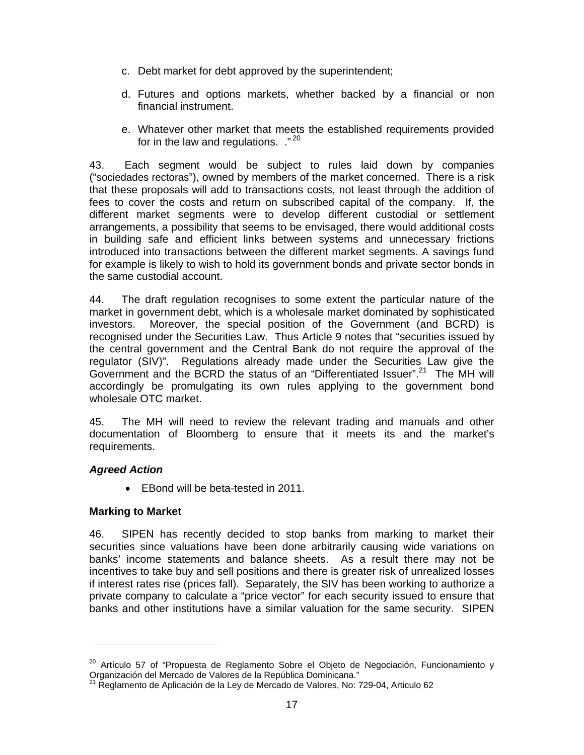- c. Debt market for debt approved by the superintendent;
- d. Futures and options markets, whether backed by a financial or non financial instrument.
- e. Whatever other market that meets the established requirements provided for in the law and regulations. ."<sup>20</sup>

43. Each segment would be subject to rules laid down by companies ("sociedades rectoras"), owned by members of the market concerned. There is a risk that these proposals will add to transactions costs, not least through the addition of fees to cover the costs and return on subscribed capital of the company. If, the different market segments were to develop different custodial or settlement arrangements, a possibility that seems to be envisaged, there would additional costs in building safe and efficient links between systems and unnecessary frictions introduced into transactions between the different market segments. A savings fund for example is likely to wish to hold its government bonds and private sector bonds in the same custodial account.

44. The draft regulation recognises to some extent the particular nature of the market in government debt, which is a wholesale market dominated by sophisticated investors. Moreover, the special position of the Government (and BCRD) is recognised under the Securities Law. Thus Article 9 notes that "securities issued by the central government and the Central Bank do not require the approval of the regulator (SIV)". Regulations already made under the Securities Law give the Government and the BCRD the status of an "Differentiated Issuer".<sup>21</sup> The MH will accordingly be promulgating its own rules applying to the government bond wholesale OTC market.

45. The MH will need to review the relevant trading and manuals and other documentation of Bloomberg to ensure that it meets its and the market's requirements.

#### *Agreed Action*

-

• EBond will be beta-tested in 2011.

#### **Marking to Market**

46. SIPEN has recently decided to stop banks from marking to market their securities since valuations have been done arbitrarily causing wide variations on banks' income statements and balance sheets. As a result there may not be incentives to take buy and sell positions and there is greater risk of unrealized losses if interest rates rise (prices fall). Separately, the SIV has been working to authorize a private company to calculate a "price vector" for each security issued to ensure that banks and other institutions have a similar valuation for the same security. SIPEN

<sup>&</sup>lt;sup>20</sup> Artículo 57 of "Propuesta de Reglamento Sobre el Objeto de Negociación, Funcionamiento y Organización del Mercado de Valores de la República Dominicana."

 $^{21}$  Reglamento de Aplicación de la Ley de Mercado de Valores, No: 729-04, Articulo 62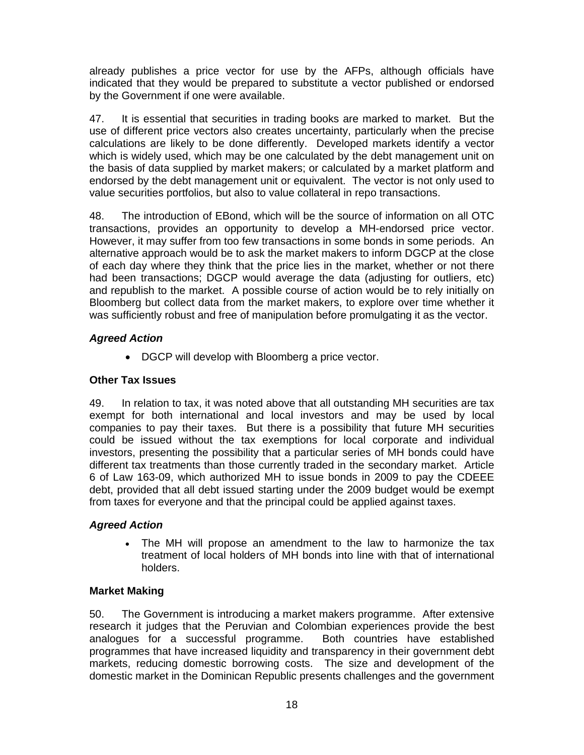already publishes a price vector for use by the AFPs, although officials have indicated that they would be prepared to substitute a vector published or endorsed by the Government if one were available.

47. It is essential that securities in trading books are marked to market. But the use of different price vectors also creates uncertainty, particularly when the precise calculations are likely to be done differently. Developed markets identify a vector which is widely used, which may be one calculated by the debt management unit on the basis of data supplied by market makers; or calculated by a market platform and endorsed by the debt management unit or equivalent. The vector is not only used to value securities portfolios, but also to value collateral in repo transactions.

48. The introduction of EBond, which will be the source of information on all OTC transactions, provides an opportunity to develop a MH-endorsed price vector. However, it may suffer from too few transactions in some bonds in some periods. An alternative approach would be to ask the market makers to inform DGCP at the close of each day where they think that the price lies in the market, whether or not there had been transactions; DGCP would average the data (adjusting for outliers, etc) and republish to the market. A possible course of action would be to rely initially on Bloomberg but collect data from the market makers, to explore over time whether it was sufficiently robust and free of manipulation before promulgating it as the vector.

# *Agreed Action*

• DGCP will develop with Bloomberg a price vector.

# **Other Tax Issues**

49. In relation to tax, it was noted above that all outstanding MH securities are tax exempt for both international and local investors and may be used by local companies to pay their taxes. But there is a possibility that future MH securities could be issued without the tax exemptions for local corporate and individual investors, presenting the possibility that a particular series of MH bonds could have different tax treatments than those currently traded in the secondary market. Article 6 of Law 163-09, which authorized MH to issue bonds in 2009 to pay the CDEEE debt, provided that all debt issued starting under the 2009 budget would be exempt from taxes for everyone and that the principal could be applied against taxes.

# *Agreed Action*

• The MH will propose an amendment to the law to harmonize the tax treatment of local holders of MH bonds into line with that of international holders.

# **Market Making**

50. The Government is introducing a market makers programme. After extensive research it judges that the Peruvian and Colombian experiences provide the best analogues for a successful programme. Both countries have established programmes that have increased liquidity and transparency in their government debt markets, reducing domestic borrowing costs. The size and development of the domestic market in the Dominican Republic presents challenges and the government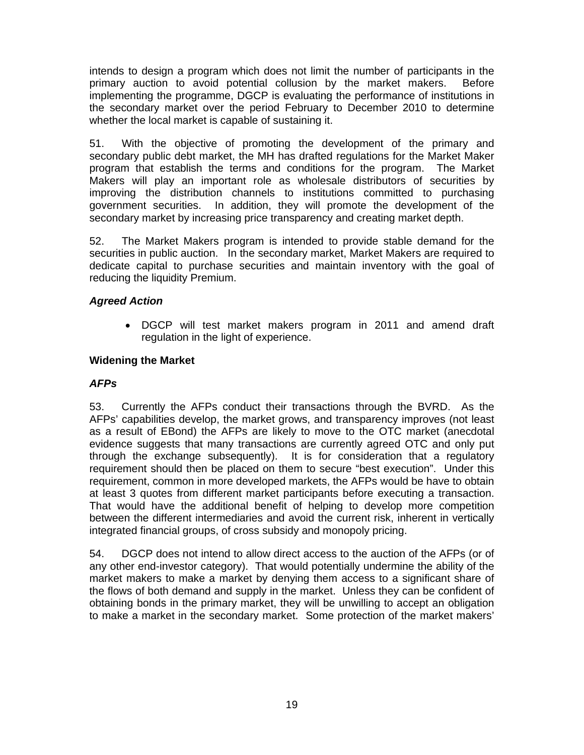intends to design a program which does not limit the number of participants in the primary auction to avoid potential collusion by the market makers. Before implementing the programme, DGCP is evaluating the performance of institutions in the secondary market over the period February to December 2010 to determine whether the local market is capable of sustaining it.

51. With the objective of promoting the development of the primary and secondary public debt market, the MH has drafted regulations for the Market Maker program that establish the terms and conditions for the program. The Market Makers will play an important role as wholesale distributors of securities by improving the distribution channels to institutions committed to purchasing government securities. In addition, they will promote the development of the secondary market by increasing price transparency and creating market depth.

52. The Market Makers program is intended to provide stable demand for the securities in public auction. In the secondary market, Market Makers are required to dedicate capital to purchase securities and maintain inventory with the goal of reducing the liquidity Premium.

# *Agreed Action*

• DGCP will test market makers program in 2011 and amend draft regulation in the light of experience.

# **Widening the Market**

## *AFPs*

53. Currently the AFPs conduct their transactions through the BVRD. As the AFPs' capabilities develop, the market grows, and transparency improves (not least as a result of EBond) the AFPs are likely to move to the OTC market (anecdotal evidence suggests that many transactions are currently agreed OTC and only put through the exchange subsequently). It is for consideration that a regulatory requirement should then be placed on them to secure "best execution". Under this requirement, common in more developed markets, the AFPs would be have to obtain at least 3 quotes from different market participants before executing a transaction. That would have the additional benefit of helping to develop more competition between the different intermediaries and avoid the current risk, inherent in vertically integrated financial groups, of cross subsidy and monopoly pricing.

54. DGCP does not intend to allow direct access to the auction of the AFPs (or of any other end-investor category). That would potentially undermine the ability of the market makers to make a market by denying them access to a significant share of the flows of both demand and supply in the market. Unless they can be confident of obtaining bonds in the primary market, they will be unwilling to accept an obligation to make a market in the secondary market. Some protection of the market makers'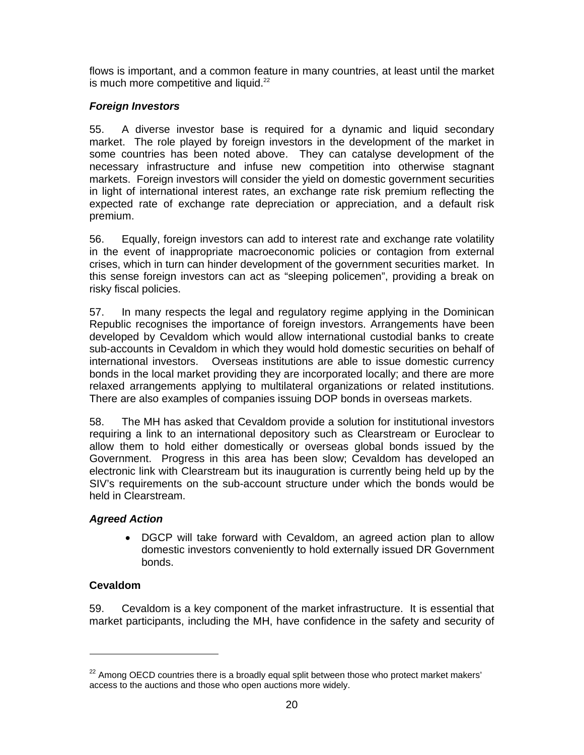flows is important, and a common feature in many countries, at least until the market is much more competitive and liquid. $22$ 

# *Foreign Investors*

55. A diverse investor base is required for a dynamic and liquid secondary market. The role played by foreign investors in the development of the market in some countries has been noted above. They can catalyse development of the necessary infrastructure and infuse new competition into otherwise stagnant markets. Foreign investors will consider the yield on domestic government securities in light of international interest rates, an exchange rate risk premium reflecting the expected rate of exchange rate depreciation or appreciation, and a default risk premium.

56. Equally, foreign investors can add to interest rate and exchange rate volatility in the event of inappropriate macroeconomic policies or contagion from external crises, which in turn can hinder development of the government securities market. In this sense foreign investors can act as "sleeping policemen", providing a break on risky fiscal policies.

57. In many respects the legal and regulatory regime applying in the Dominican Republic recognises the importance of foreign investors. Arrangements have been developed by Cevaldom which would allow international custodial banks to create sub-accounts in Cevaldom in which they would hold domestic securities on behalf of international investors. Overseas institutions are able to issue domestic currency bonds in the local market providing they are incorporated locally; and there are more relaxed arrangements applying to multilateral organizations or related institutions. There are also examples of companies issuing DOP bonds in overseas markets.

58. The MH has asked that Cevaldom provide a solution for institutional investors requiring a link to an international depository such as Clearstream or Euroclear to allow them to hold either domestically or overseas global bonds issued by the Government. Progress in this area has been slow; Cevaldom has developed an electronic link with Clearstream but its inauguration is currently being held up by the SIV's requirements on the sub-account structure under which the bonds would be held in Clearstream.

# *Agreed Action*

• DGCP will take forward with Cevaldom, an agreed action plan to allow domestic investors conveniently to hold externally issued DR Government bonds.

# **Cevaldom**

-

59. Cevaldom is a key component of the market infrastructure. It is essential that market participants, including the MH, have confidence in the safety and security of

 $22$  Among OECD countries there is a broadly equal split between those who protect market makers' access to the auctions and those who open auctions more widely.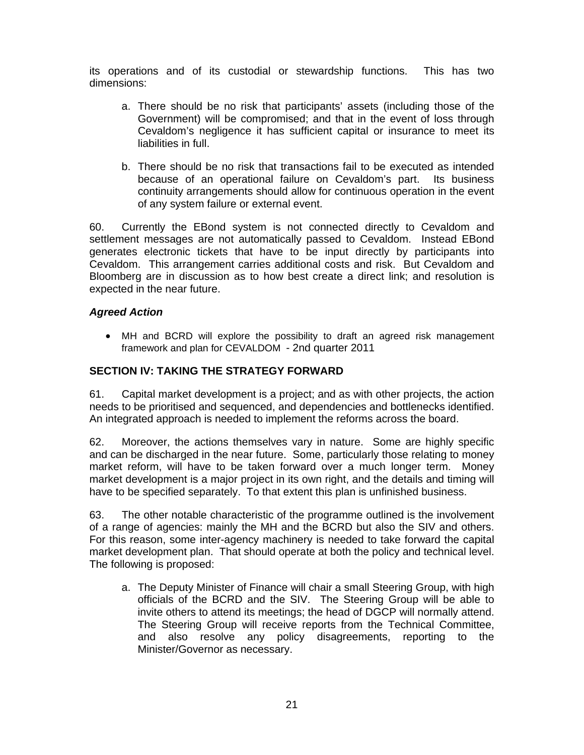its operations and of its custodial or stewardship functions. This has two dimensions:

- a. There should be no risk that participants' assets (including those of the Government) will be compromised; and that in the event of loss through Cevaldom's negligence it has sufficient capital or insurance to meet its liabilities in full.
- b. There should be no risk that transactions fail to be executed as intended because of an operational failure on Cevaldom's part. Its business continuity arrangements should allow for continuous operation in the event of any system failure or external event.

60. Currently the EBond system is not connected directly to Cevaldom and settlement messages are not automatically passed to Cevaldom. Instead EBond generates electronic tickets that have to be input directly by participants into Cevaldom. This arrangement carries additional costs and risk. But Cevaldom and Bloomberg are in discussion as to how best create a direct link; and resolution is expected in the near future.

## *Agreed Action*

• MH and BCRD will explore the possibility to draft an agreed risk management framework and plan for CEVALDOM - 2nd quarter 2011

## **SECTION IV: TAKING THE STRATEGY FORWARD**

61. Capital market development is a project; and as with other projects, the action needs to be prioritised and sequenced, and dependencies and bottlenecks identified. An integrated approach is needed to implement the reforms across the board.

62. Moreover, the actions themselves vary in nature. Some are highly specific and can be discharged in the near future. Some, particularly those relating to money market reform, will have to be taken forward over a much longer term. Money market development is a major project in its own right, and the details and timing will have to be specified separately. To that extent this plan is unfinished business.

63. The other notable characteristic of the programme outlined is the involvement of a range of agencies: mainly the MH and the BCRD but also the SIV and others. For this reason, some inter-agency machinery is needed to take forward the capital market development plan. That should operate at both the policy and technical level. The following is proposed:

a. The Deputy Minister of Finance will chair a small Steering Group, with high officials of the BCRD and the SIV. The Steering Group will be able to invite others to attend its meetings; the head of DGCP will normally attend. The Steering Group will receive reports from the Technical Committee, and also resolve any policy disagreements, reporting to the Minister/Governor as necessary.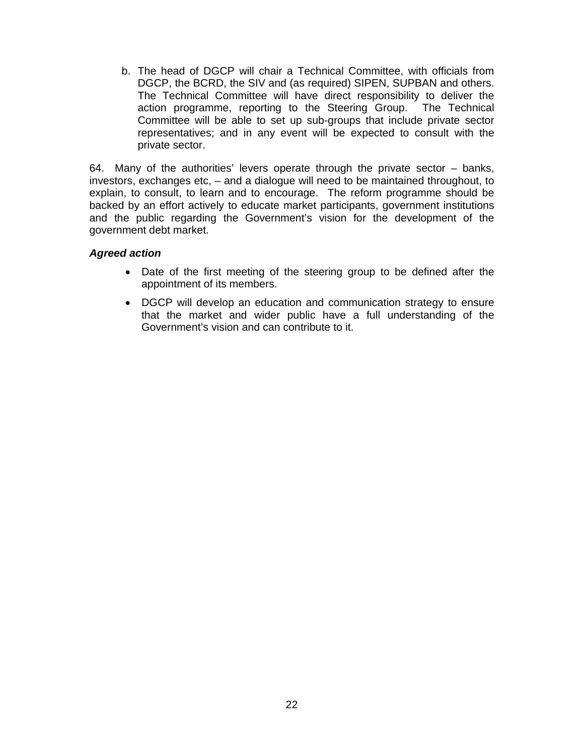b. The head of DGCP will chair a Technical Committee, with officials from DGCP, the BCRD, the SIV and (as required) SIPEN, SUPBAN and others. The Technical Committee will have direct responsibility to deliver the action programme, reporting to the Steering Group. The Technical Committee will be able to set up sub-groups that include private sector representatives; and in any event will be expected to consult with the private sector.

64. Many of the authorities' levers operate through the private sector – banks, investors, exchanges etc, – and a dialogue will need to be maintained throughout, to explain, to consult, to learn and to encourage. The reform programme should be backed by an effort actively to educate market participants, government institutions and the public regarding the Government's vision for the development of the government debt market.

#### *Agreed action*

- Date of the first meeting of the steering group to be defined after the appointment of its members.
- DGCP will develop an education and communication strategy to ensure that the market and wider public have a full understanding of the Government's vision and can contribute to it.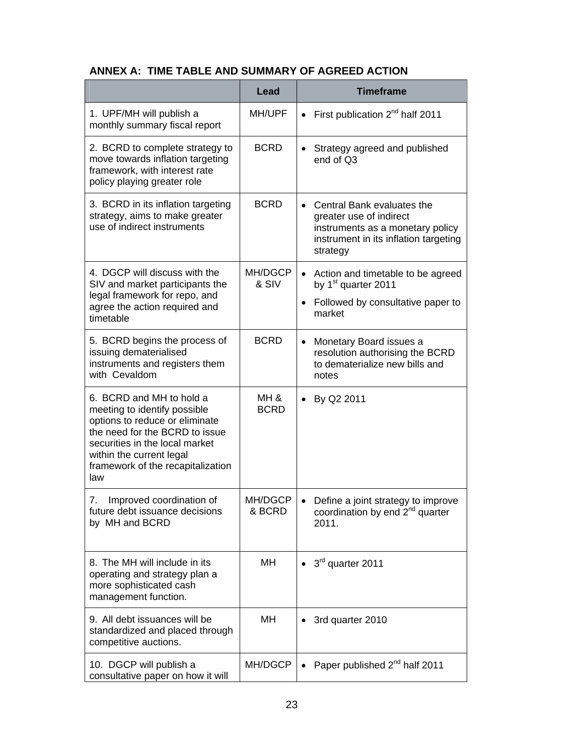| ANNEX A: TIME TABLE AND SUMMARY OF AGREED ACTION |  |
|--------------------------------------------------|--|
|                                                  |  |

|                                                                                                                                                                                                                                        | <b>Lead</b>         | <b>Timeframe</b>                                                                                                                                 |
|----------------------------------------------------------------------------------------------------------------------------------------------------------------------------------------------------------------------------------------|---------------------|--------------------------------------------------------------------------------------------------------------------------------------------------|
| 1. UPF/MH will publish a<br>monthly summary fiscal report                                                                                                                                                                              | MH/UPF              | First publication $2^{nd}$ half 2011<br>$\bullet$                                                                                                |
| 2. BCRD to complete strategy to<br>move towards inflation targeting<br>framework, with interest rate<br>policy playing greater role                                                                                                    | <b>BCRD</b>         | Strategy agreed and published<br>end of Q3                                                                                                       |
| 3. BCRD in its inflation targeting<br>strategy, aims to make greater<br>use of indirect instruments                                                                                                                                    | <b>BCRD</b>         | • Central Bank evaluates the<br>greater use of indirect<br>instruments as a monetary policy<br>instrument in its inflation targeting<br>strategy |
| 4. DGCP will discuss with the<br>SIV and market participants the<br>legal framework for repo, and<br>agree the action required and<br>timetable                                                                                        | MH/DGCP<br>& SIV    | • Action and timetable to be agreed<br>by 1 <sup>st</sup> quarter 2011                                                                           |
|                                                                                                                                                                                                                                        |                     | • Followed by consultative paper to<br>market                                                                                                    |
| 5. BCRD begins the process of<br>issuing dematerialised<br>instruments and registers them<br>with Cevaldom                                                                                                                             | <b>BCRD</b>         | Monetary Board issues a<br>$\bullet$<br>resolution authorising the BCRD<br>to dematerialize new bills and<br>notes                               |
| 6. BCRD and MH to hold a<br>meeting to identify possible<br>options to reduce or eliminate<br>the need for the BCRD to issue<br>securities in the local market<br>within the current legal<br>framework of the recapitalization<br>law | MH &<br><b>BCRD</b> | By Q2 2011<br>$\bullet$                                                                                                                          |
| Improved coordination of<br>7.<br>future debt issuance decisions<br>by MH and BCRD                                                                                                                                                     | MH/DGCP<br>& BCRD   | Define a joint strategy to improve<br>coordination by end 2 <sup>nd</sup> quarter<br>2011.                                                       |
| 8. The MH will include in its<br>operating and strategy plan a<br>more sophisticated cash<br>management function.                                                                                                                      | MН                  | 3rd quarter 2011                                                                                                                                 |
| 9. All debt issuances will be<br>standardized and placed through<br>competitive auctions.                                                                                                                                              | MH                  | 3rd quarter 2010                                                                                                                                 |
| 10. DGCP will publish a<br>consultative paper on how it will                                                                                                                                                                           | MH/DGCP             | Paper published 2 <sup>nd</sup> half 2011                                                                                                        |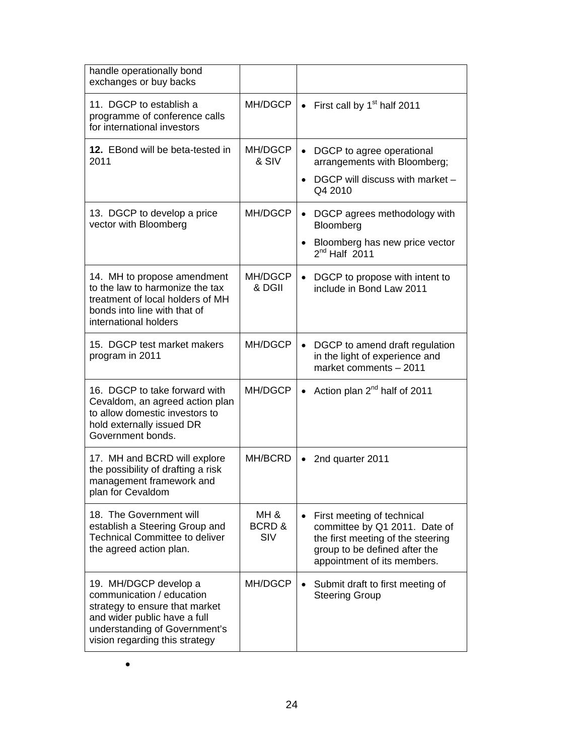| handle operationally bond<br>exchanges or buy backs                                                                                                                                     |                      |                                                                                                                                                                               |
|-----------------------------------------------------------------------------------------------------------------------------------------------------------------------------------------|----------------------|-------------------------------------------------------------------------------------------------------------------------------------------------------------------------------|
| 11. DGCP to establish a<br>programme of conference calls<br>for international investors                                                                                                 | MH/DGCP              | First call by 1 <sup>st</sup> half 2011                                                                                                                                       |
| <b>12.</b> EBond will be beta-tested in<br>2011                                                                                                                                         | MH/DGCP<br>& SIV     | DGCP to agree operational<br>$\bullet$<br>arrangements with Bloomberg;<br>DGCP will discuss with market -<br>$\bullet$<br>Q4 2010                                             |
| 13. DGCP to develop a price<br>vector with Bloomberg                                                                                                                                    | MH/DGCP              | • DGCP agrees methodology with<br>Bloomberg<br>Bloomberg has new price vector<br>$\bullet$<br>$2nd$ Half $2011$                                                               |
| 14. MH to propose amendment<br>to the law to harmonize the tax<br>treatment of local holders of MH<br>bonds into line with that of<br>international holders                             | MH/DGCP<br>& DGII    | DGCP to propose with intent to<br>$\bullet$<br>include in Bond Law 2011                                                                                                       |
| 15. DGCP test market makers<br>program in 2011                                                                                                                                          | MH/DGCP              | DGCP to amend draft regulation<br>$\bullet$<br>in the light of experience and<br>market comments - 2011                                                                       |
| 16. DGCP to take forward with<br>Cevaldom, an agreed action plan<br>to allow domestic investors to<br>hold externally issued DR<br>Government bonds.                                    | MH/DGCP              | Action plan 2 <sup>nd</sup> half of 2011                                                                                                                                      |
| 17. MH and BCRD will explore<br>the possibility of drafting a risk<br>management framework and<br>plan for Cevaldom                                                                     | MH/BCRD              | 2nd quarter 2011                                                                                                                                                              |
| 18. The Government will<br>establish a Steering Group and<br><b>Technical Committee to deliver</b><br>the agreed action plan.                                                           | MH &<br>BCRD&<br>SIV | First meeting of technical<br>$\bullet$<br>committee by Q1 2011. Date of<br>the first meeting of the steering<br>group to be defined after the<br>appointment of its members. |
| 19. MH/DGCP develop a<br>communication / education<br>strategy to ensure that market<br>and wider public have a full<br>understanding of Government's<br>vision regarding this strategy | MH/DGCP              | Submit draft to first meeting of<br>$\bullet$<br><b>Steering Group</b>                                                                                                        |

| ł<br>I<br>I<br>۰. |  |
|-------------------|--|
|                   |  |